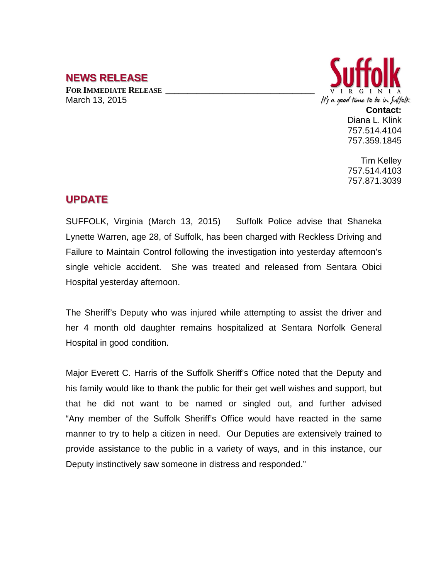## **NEWS RELEASE**

**FOR IMMEDIATE RELEASE \_\_\_\_\_\_\_\_\_\_\_\_\_\_\_\_\_\_\_\_\_\_\_\_\_\_\_\_\_\_\_\_\_\_** March 13, 2015



Diana L. Klink 757.514.4104 757.359.1845

Tim Kelley 757.514.4103 757.871.3039

## **UPDATE**

SUFFOLK, Virginia (March 13, 2015) Suffolk Police advise that Shaneka Lynette Warren, age 28, of Suffolk, has been charged with Reckless Driving and Failure to Maintain Control following the investigation into yesterday afternoon's single vehicle accident. She was treated and released from Sentara Obici Hospital yesterday afternoon.

The Sheriff's Deputy who was injured while attempting to assist the driver and her 4 month old daughter remains hospitalized at Sentara Norfolk General Hospital in good condition.

Major Everett C. Harris of the Suffolk Sheriff's Office noted that the Deputy and his family would like to thank the public for their get well wishes and support, but that he did not want to be named or singled out, and further advised "Any member of the Suffolk Sheriff's Office would have reacted in the same manner to try to help a citizen in need. Our Deputies are extensively trained to provide assistance to the public in a variety of ways, and in this instance, our Deputy instinctively saw someone in distress and responded."